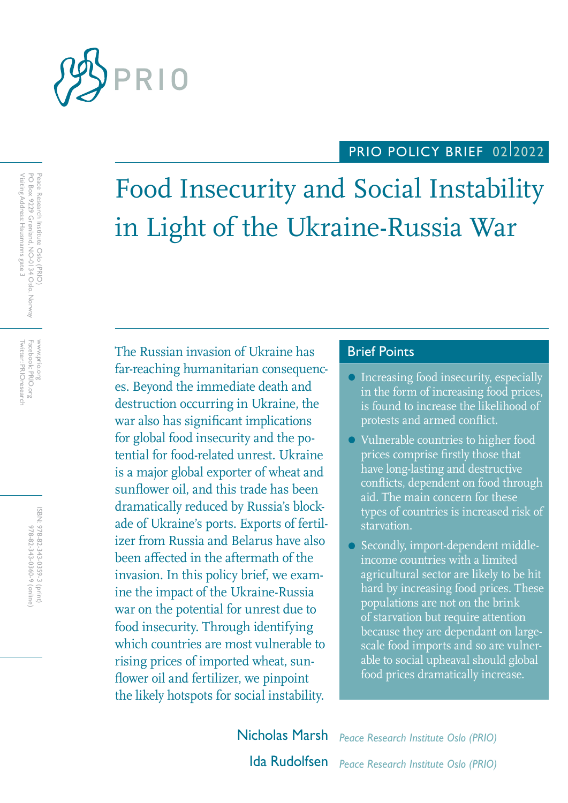

# PRIO POLICY BRIEF 02/2022

# Food Insecurity and Social Instability in Light of the Ukraine-Russia War

The Russian invasion of Ukraine has **Brief Points** far-reaching humanitarian consequences. Beyond the immediate death and destruction occurring in Ukraine, the war also has significant implications for global food insecurity and the potential for food-related unrest. Ukraine is a major global exporter of wheat and sunflower oil, and this trade has been dramatically reduced by Russia's blockade of Ukraine's ports. Exports of fertilizer from Russia and Belarus have also been affected in the aftermath of the invasion. In this policy brief, we examine the impact of the Ukraine-Russia war on the potential for unrest due to food insecurity. Through identifying which countries are most vulnerable to rising prices of imported wheat, sunflower oil and fertilizer, we pinpoint the likely hotspots for social instability.

- Increasing food insecurity, especially in the form of increasing food prices, is found to increase the likelihood of protests and armed conflict.
- Vulnerable countries to higher food prices comprise firstly those that have long-lasting and destructive conflicts, dependent on food through aid. The main concern for these types of countries is increased risk of starvation.
- Secondly, import-dependent middleincome countries with a limited agricultural sector are likely to be hit hard by increasing food prices. These populations are not on the brink of starvation but require attention because they are dependant on largescale food imports and so are vulnerable to social upheaval should global food prices dramatically increase.

Nicholas Marsh *Peace Research Institute Oslo (PRIO)* Ida Rudolfsen *Peace Research Institute Oslo (PRIO)*

Twitter: PRIOresearch Facebook: PRIO.org Twitter: PRIOresearch Facebook: PRIO.org www.prio.org www.prio.org

> ISBN: 978-82-343-0359-3 (print) 978-82-343-0360-9 (online) 978-82-343-0360-9 (online) 978-82-343-0359-3 (print)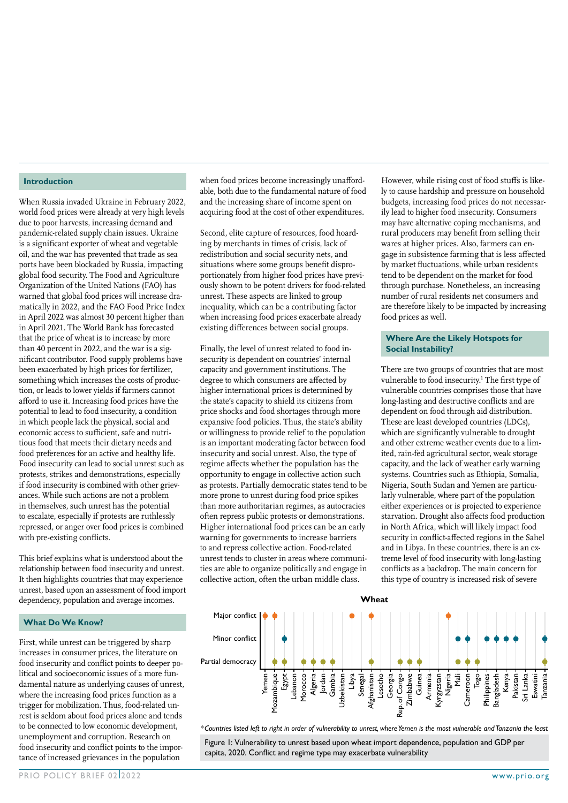#### **Introduction**

When Russia invaded Ukraine in February 2022, world food prices were already at very high levels due to poor harvests, increasing demand and pandemic-related supply chain issues. Ukraine is a significant exporter of wheat and vegetable oil, and the war has prevented that trade as sea ports have been blockaded by Russia, impacting global food security. The Food and Agriculture Organization of the United Nations (FAO) has warned that global food prices will increase dramatically in 2022, and the FAO Food Price Index in April 2022 was almost 30 percent higher than in April 2021. The World Bank has forecasted that the price of wheat is to increase by more than 40 percent in 2022, and the war is a significant contributor. Food supply problems have been exacerbated by high prices for fertilizer, something which increases the costs of production, or leads to lower yields if farmers cannot afford to use it. Increasing food prices have the potential to lead to food insecurity, a condition in which people lack the physical, social and economic access to sufficient, safe and nutritious food that meets their dietary needs and food preferences for an active and healthy life. Food insecurity can lead to social unrest such as protests, strikes and demonstrations, especially if food insecurity is combined with other grievances. While such actions are not a problem in themselves, such unrest has the potential to escalate, especially if protests are ruthlessly repressed, or anger over food prices is combined with pre-existing conflicts.

This brief explains what is understood about the relationship between food insecurity and unrest. It then highlights countries that may experience unrest, based upon an assessment of food import dependency, population and average incomes.

#### **What Do We Know?**

First, while unrest can be triggered by sharp increases in consumer prices, the literature on food insecurity and conflict points to deeper political and socioeconomic issues of a more fundamental nature as underlying causes of unrest, where the increasing food prices function as a trigger for mobilization. Thus, food-related unrest is seldom about food prices alone and tends to be connected to low economic development, unemployment and corruption. Research on food insecurity and conflict points to the importance of increased grievances in the population

when food prices become increasingly unaffordable, both due to the fundamental nature of food and the increasing share of income spent on acquiring food at the cost of other expenditures.

Second, elite capture of resources, food hoarding by merchants in times of crisis, lack of redistribution and social security nets, and situations where some groups benefit disproportionately from higher food prices have previously shown to be potent drivers for food-related unrest. These aspects are linked to group inequality, which can be a contributing factor when increasing food prices exacerbate already existing differences between social groups.

Finally, the level of unrest related to food insecurity is dependent on countries' internal capacity and government institutions. The degree to which consumers are affected by higher international prices is determined by the state's capacity to shield its citizens from price shocks and food shortages through more expansive food policies. Thus, the state's ability or willingness to provide relief to the population is an important moderating factor between food insecurity and social unrest. Also, the type of regime affects whether the population has the opportunity to engage in collective action such as protests. Partially democratic states tend to be more prone to unrest during food price spikes than more authoritarian regimes, as autocracies often repress public protests or demonstrations. Higher international food prices can be an early warning for governments to increase barriers to and repress collective action. Food-related unrest tends to cluster in areas where communities are able to organize politically and engage in collective action, often the urban middle class.

However, while rising cost of food stuffs is likely to cause hardship and pressure on household budgets, increasing food prices do not necessarily lead to higher food insecurity. Consumers may have alternative coping mechanisms, and rural producers may benefit from selling their wares at higher prices. Also, farmers can engage in subsistence farming that is less affected by market fluctuations, while urban residents tend to be dependent on the market for food through purchase. Nonetheless, an increasing number of rural residents net consumers and are therefore likely to be impacted by increasing food prices as well.

#### **Where Are the Likely Hotspots for Social Instability?**

There are two groups of countries that are most vulnerable to food insecurity.<sup>1</sup> The first type of vulnerable countries comprises those that have long-lasting and destructive conflicts and are dependent on food through aid distribution. These are least developed countries (LDCs), which are significantly vulnerable to drought and other extreme weather events due to a limited, rain-fed agricultural sector, weak storage capacity, and the lack of weather early warning systems. Countries such as Ethiopia, Somalia, Nigeria, South Sudan and Yemen are particularly vulnerable, where part of the population either experiences or is projected to experience starvation. Drought also affects food production in North Africa, which will likely impact food security in conflict-affected regions in the Sahel and in Libya. In these countries, there is an extreme level of food insecurity with long-lasting conflicts as a backdrop. The main concern for this type of country is increased risk of severe



*Countries listed left to right in order of vulnerability to unrest, where Yemen is the most vulnerable and Tanzania the least \**

Figure 1: Vulnerability to unrest based upon wheat import dependence, population and GDP per capita, 2020. Conflict and regime type may exacerbate vulnerability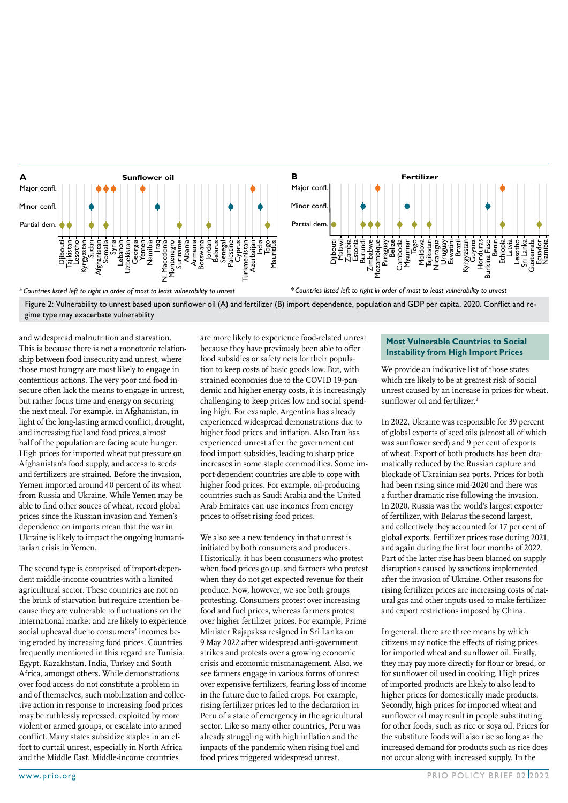

*\*Countries listed left to right in order of most to least vulnerability to unrest*

*\*Countries listed left to right in order of most to least vulnerability to unrest*

Figure 2: Vulnerability to unrest based upon sunflower oil (A) and fertilizer (B) import dependence, population and GDP per capita, 2020. Conflict and regime type may exacerbate vulnerability

and widespread malnutrition and starvation. This is because there is not a monotonic relationship between food insecurity and unrest, where those most hungry are most likely to engage in contentious actions. The very poor and food insecure often lack the means to engage in unrest, but rather focus time and energy on securing the next meal. For example, in Afghanistan, in light of the long-lasting armed conflict, drought, and increasing fuel and food prices, almost half of the population are facing acute hunger. High prices for imported wheat put pressure on Afghanistan's food supply, and access to seeds and fertilizers are strained. Before the invasion, Yemen imported around 40 percent of its wheat from Russia and Ukraine. While Yemen may be able to find other souces of wheat, record global prices since the Russian invasion and Yemen's dependence on imports mean that the war in Ukraine is likely to impact the ongoing humanitarian crisis in Yemen.

The second type is comprised of import-dependent middle-income countries with a limited agricultural sector. These countries are not on the brink of starvation but require attention because they are vulnerable to fluctuations on the international market and are likely to experience social upheaval due to consumers' incomes being eroded by increasing food prices. Countries frequently mentioned in this regard are Tunisia, Egypt, Kazakhstan, India, Turkey and South Africa, amongst others. While demonstrations over food access do not constitute a problem in and of themselves, such mobilization and collective action in response to increasing food prices may be ruthlessly repressed, exploited by more violent or armed groups, or escalate into armed conflict. Many states subsidize staples in an effort to curtail unrest, especially in North Africa and the Middle East. Middle-income countries

are more likely to experience food-related unrest because they have previously been able to offer food subsidies or safety nets for their population to keep costs of basic goods low. But, with strained economies due to the COVID 19-pandemic and higher energy costs, it is increasingly challenging to keep prices low and social spending high. For example, Argentina has already experienced widespread demonstrations due to higher food prices and inflation. Also Iran has experienced unrest after the government cut food import subsidies, leading to sharp price increases in some staple commodities. Some import-dependent countries are able to cope with higher food prices. For example, oil-producing countries such as Saudi Arabia and the United Arab Emirates can use incomes from energy prices to offset rising food prices.

We also see a new tendency in that unrest is initiated by both consumers and producers. Historically, it has been consumers who protest when food prices go up, and farmers who protest when they do not get expected revenue for their produce. Now, however, we see both groups protesting. Consumers protest over increasing food and fuel prices, whereas farmers protest over higher fertilizer prices. For example, Prime Minister Rajapaksa resigned in Sri Lanka on 9 May 2022 after widespread anti-government strikes and protests over a growing economic crisis and economic mismanagement. Also, we see farmers engage in various forms of unrest over expensive fertilizers, fearing loss of income in the future due to failed crops. For example, rising fertilizer prices led to the declaration in Peru of a state of emergency in the agricultural sector. Like so many other countries, Peru was already struggling with high inflation and the impacts of the pandemic when rising fuel and food prices triggered widespread unrest.

#### **Most Vulnerable Countries to Social Instability from High Import Prices**

We provide an indicative list of those states which are likely to be at greatest risk of social unrest caused by an increase in prices for wheat, sunflower oil and fertilizer.<sup>2</sup>

In 2022, Ukraine was responsible for 39 percent of global exports of seed oils (almost all of which was sunflower seed) and 9 per cent of exports of wheat. Export of both products has been dramatically reduced by the Russian capture and blockade of Ukrainian sea ports. Prices for both had been rising since mid-2020 and there was a further dramatic rise following the invasion. In 2020, Russia was the world's largest exporter of fertilizer, with Belarus the second largest, and collectively they accounted for 17 per cent of global exports. Fertilizer prices rose during 2021, and again during the first four months of 2022. Part of the latter rise has been blamed on supply disruptions caused by sanctions implemented after the invasion of Ukraine. Other reasons for rising fertilizer prices are increasing costs of natural gas and other inputs used to make fertilizer and export restrictions imposed by China.

In general, there are three means by which citizens may notice the effects of rising prices for imported wheat and sunflower oil. Firstly, they may pay more directly for flour or bread, or for sunflower oil used in cooking. High prices of imported products are likely to also lead to higher prices for domestically made products. Secondly, high prices for imported wheat and sunflower oil may result in people substituting for other foods, such as rice or soya oil. Prices for the substitute foods will also rise so long as the increased demand for products such as rice does not occur along with increased supply. In the